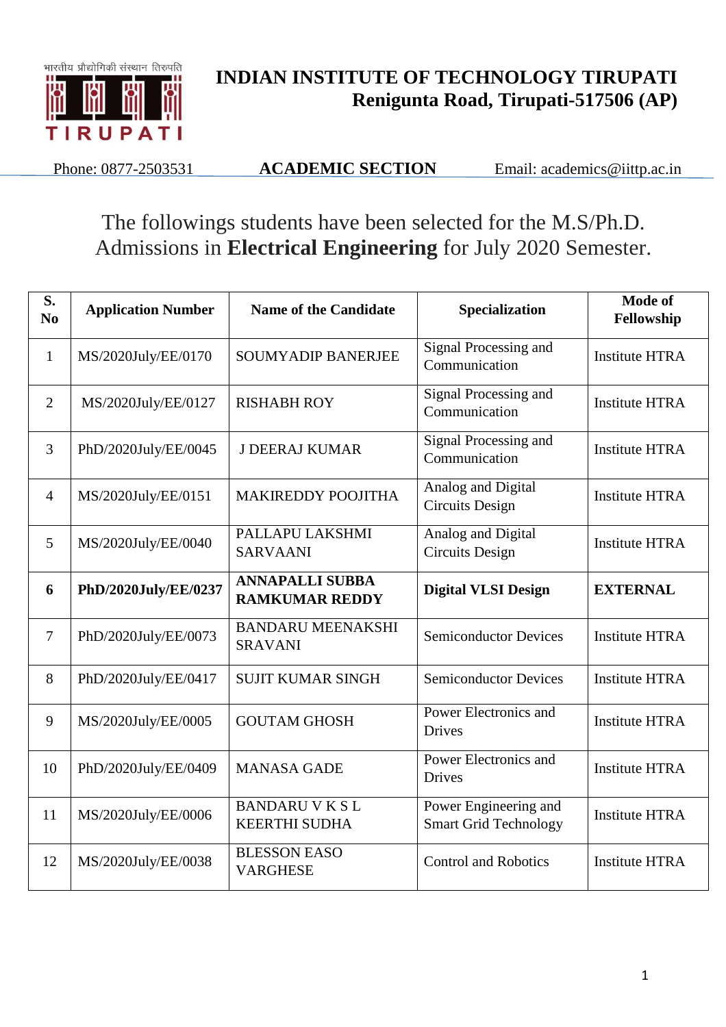

## **INDIAN INSTITUTE OF TECHNOLOGY TIRUPATI Renigunta Road, Tirupati-517506 (AP)**

Phone: 0877-2503531 **ACADEMIC SECTION** Email: academics@iittp.ac.in

## The followings students have been selected for the M.S/Ph.D. Admissions in **Electrical Engineering** for July 2020 Semester.

| S.<br>N <sub>0</sub> | <b>Application Number</b> | <b>Name of the Candidate</b>                    | Specialization                                        | Mode of<br>Fellowship |
|----------------------|---------------------------|-------------------------------------------------|-------------------------------------------------------|-----------------------|
| $\mathbf{1}$         | MS/2020July/EE/0170       | <b>SOUMYADIP BANERJEE</b>                       | Signal Processing and<br>Communication                | <b>Institute HTRA</b> |
| $\overline{2}$       | MS/2020July/EE/0127       | <b>RISHABH ROY</b>                              | Signal Processing and<br>Communication                | <b>Institute HTRA</b> |
| 3                    | PhD/2020July/EE/0045      | <b>J DEERAJ KUMAR</b>                           | Signal Processing and<br>Communication                | <b>Institute HTRA</b> |
| $\overline{4}$       | MS/2020July/EE/0151       | <b>MAKIREDDY POOJITHA</b>                       | Analog and Digital<br><b>Circuits Design</b>          | <b>Institute HTRA</b> |
| 5                    | MS/2020July/EE/0040       | PALLAPU LAKSHMI<br><b>SARVAANI</b>              | Analog and Digital<br><b>Circuits Design</b>          | <b>Institute HTRA</b> |
| 6                    | PhD/2020July/EE/0237      | <b>ANNAPALLI SUBBA</b><br><b>RAMKUMAR REDDY</b> | <b>Digital VLSI Design</b>                            | <b>EXTERNAL</b>       |
| $\overline{7}$       | PhD/2020July/EE/0073      | <b>BANDARU MEENAKSHI</b><br><b>SRAVANI</b>      | <b>Semiconductor Devices</b>                          | <b>Institute HTRA</b> |
| 8                    | PhD/2020July/EE/0417      | <b>SUJIT KUMAR SINGH</b>                        | <b>Semiconductor Devices</b>                          | <b>Institute HTRA</b> |
| 9                    | MS/2020July/EE/0005       | <b>GOUTAM GHOSH</b>                             | Power Electronics and<br><b>Drives</b>                | <b>Institute HTRA</b> |
| 10                   | PhD/2020July/EE/0409      | <b>MANASA GADE</b>                              | Power Electronics and<br><b>Drives</b>                | <b>Institute HTRA</b> |
| 11                   | MS/2020July/EE/0006       | <b>BANDARU V K S L</b><br><b>KEERTHI SUDHA</b>  | Power Engineering and<br><b>Smart Grid Technology</b> | <b>Institute HTRA</b> |
| 12                   | MS/2020July/EE/0038       | <b>BLESSON EASO</b><br><b>VARGHESE</b>          | <b>Control and Robotics</b>                           | <b>Institute HTRA</b> |